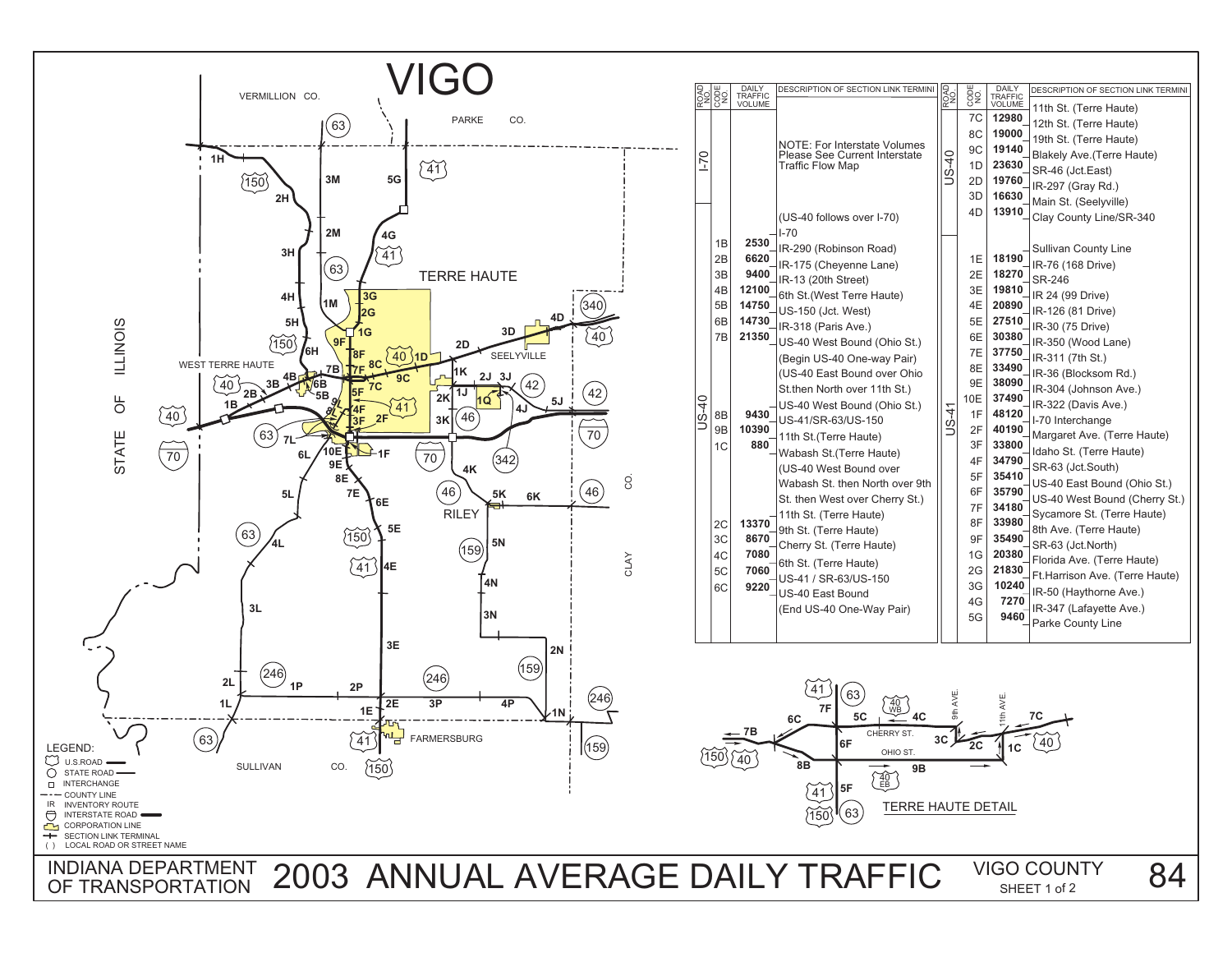